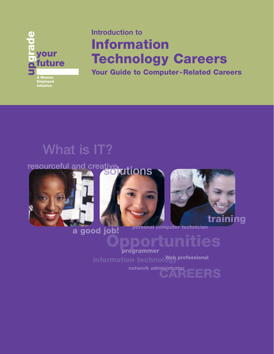

# **Introduction to Information Technology Careers**

**Your Guide to Computer-Related Careers**

# **What is IT?**







## **a good job!**

**personal computer technician**

## **Opportunities programmer**

**information technol Web professional** 

**CAREERS network administrator**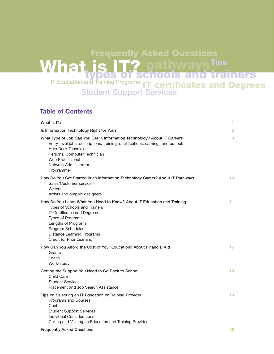## **What is IT? IT Education and Training Programs IT certificates and Degrees types of schools and trainers Student Support Services pathways** Tips **Frequently Asked Questions**

## **Table of Contents**

| What is IT?                                                                                                                                                                                                                                                                   | 1. |
|-------------------------------------------------------------------------------------------------------------------------------------------------------------------------------------------------------------------------------------------------------------------------------|----|
| Is Information Technology Right for You?                                                                                                                                                                                                                                      | 2  |
| What Type of Job Can You Get in Information Technology? About IT Careers<br>Entry-level jobs: descriptions, training, qualifications, earnings and outlook<br>Help Desk Technician<br>Personal Computer Technician<br>Web Professional<br>Network Administrator<br>Programmer | 3  |
| How Do You Get Started in an Information Technology Career? About IT Pathways<br>Sales/Customer service<br>Writers<br>Artists and graphic designers                                                                                                                           | 10 |
| How Do You Learn What You Need to Know? About IT Education and Training<br>Types of Schools and Trainers<br>IT Certificates and Degrees<br>Types of Programs<br>Lengths of Programs<br>Program Schedules<br><b>Distance Learning Programs</b><br>Credit for Prior Learning    | 11 |
| How Can You Afford the Cost of Your Education? About Financial Aid<br>Grants<br>Loans<br>Work-study                                                                                                                                                                           | 16 |
| Getting the Support You Need to Go Back to School<br>Child Care<br><b>Student Services</b><br>Placement and Job Search Assistance                                                                                                                                             | 18 |
| Tips on Selecting an IT Education or Training Provider<br>Programs and Courses<br>Cost<br><b>Student Support Services</b><br>Individual Considerations<br>Calling and Visiting an Education and Training Provider                                                             | 19 |
| <b>Frequently Asked Questions</b>                                                                                                                                                                                                                                             | 22 |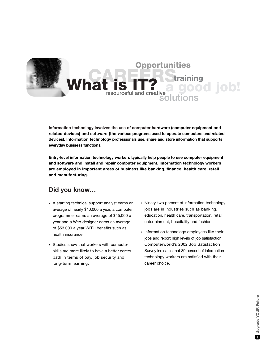

**Information technology involves the use of computer hardware (computer equipment and related devices) and software (the various programs used to operate computers and related devices). Information technology professionals use, share and store information that supports everyday business functions.** 

**Entry-level information technology workers typically help people to use computer equipment and software and install and repair computer equipment. Information technology workers are employed in important areas of business like banking, finance, health care, retail and manufacturing.**

## **Did you know…**

- A starting technical support analyst earns an average of nearly \$40,000 a year, a computer programmer earns an average of \$45,000 a year and a Web designer earns an average of \$53,000 a year WITH benefits such as health insurance.
- Studies show that workers with computer skills are more likely to have a better career path in terms of pay, job security and long-term learning.
- Ninety-two percent of information technology jobs are in industries such as banking, education, health care, transportation, retail, entertainment, hospitality and fashion.
- Information technology employees like their jobs and report high levels of job satisfaction. Computerworld's 2002 Job Satisfaction Survey indicates that 89 percent of information technology workers are satisfied with their career choice.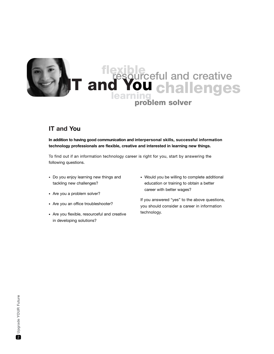

## **IT and You**

**In addition to having good communication and interpersonal skills, successful information technology professionals are flexible, creative and interested in learning new things.**

To find out if an information technology career is right for you, start by answering the following questions.

- Do you enjoy learning new things and tackling new challenges?
- Are you a problem solver?
- Are you an office troubleshooter?
- Are you flexible, resourceful and creative in developing solutions?
- Would you be willing to complete additional education or training to obtain a better career with better wages?

If you answered "yes" to the above questions, you should consider a career in information technology.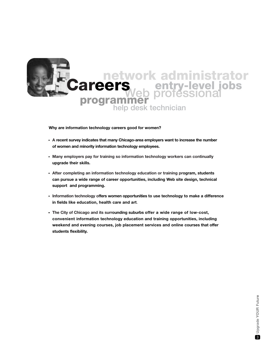

**Why are information technology careers good for women?**

- **A recent survey indicates that many Chicago-area employers want to increase the number of women and minority information technology employees.**
- **Many employers pay for training so information technology workers can continually upgrade their skills.**
- **After completing an information technology education or training program, students can pursue a wide range of career opportunities, including Web site design, technical support and programming.**
- **Information technology offers women opportunities to use technology to make a difference in fields like education, health care and art**.
- **The City of Chicago and its surrounding suburbs offer a wide range of low-cost, convenient information technology education and training opportunities, including weekend and evening courses, job placement services and online courses that offer students flexibility.**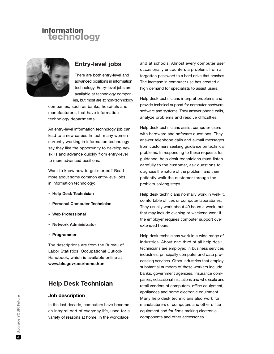

## **Entry-level jobs**

There are both entry-level and advanced positions in information technology. Entry-level jobs are available at technology companies, but most are at non-technology

companies, such as banks, hospitals and manufacturers, that have information technology departments.

An entry-level information technology job can lead to a new career. In fact, many women currently working in information technology say they like the opportunity to develop new skills and advance quickly from entry-level to more advanced positions.

Want to know how to get started? Read more about some common entry-level jobs in information technology:

- **Help Desk Technician**
- **Personal Computer Technician**
- **Web Professional**
- **Network Administrator**
- **Programmer**

The descriptions are from the Bureau of Labor Statistics' Occupational Outlook Handbook, which is available online at **www.bls.gov/oco/home.htm**.

## **Help Desk Technician**

#### **Job description**

In the last decade, computers have become an integral part of everyday life, used for a variety of reasons at home, in the workplace

and at schools. Almost every computer user occasionally encounters a problem, from a forgotten password to a hard drive that crashes. The increase in computer use has created a high demand for specialists to assist users.

Help desk technicians interpret problems and provide technical support for computer hardware, software and systems. They answer phone calls, analyze problems and resolve difficulties.

Help desk technicians assist computer users with hardware and software questions. They answer telephone calls and e-mail messages from customers seeking guidance on technical problems. In responding to these requests for guidance, help desk technicians must listen carefully to the customer, ask questions to diagnose the nature of the problem, and then patiently walk the customer through the problem-solving steps.

Help desk technicians normally work in well-lit, comfortable offices or computer laboratories. They usually work about 40 hours a week, but that may include evening or weekend work if the employer requires computer support over extended hours.

Help desk technicians work in a wide range of industries. About one-third of all help desk technicians are employed in business services industries, principally computer and data processing services. Other industries that employ substantial numbers of these workers include banks, government agencies, insurance companies, educational institutions and wholesale and retail vendors of computers, office equipment, appliances and home electronic equipment. Many help desk technicians also work for manufacturers of computers and other office equipment and for firms making electronic components and other accessories.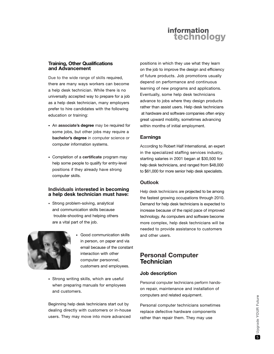

## **Training, Other Qualifications and Advancement**

Due to the wide range of skills required, there are many ways workers can become a help desk technician. While there is no universally accepted way to prepare for a job as a help desk technician, many employers prefer to hire candidates with the following education or training:

- An **associate's degree** may be required for some jobs, but other jobs may require a **bachelor's degree** in computer science or computer information systems.
- Completion of a **certificate** program may help some people to qualify for entry-level positions if they already have strong computer skills.

#### **Individuals interested in becoming a help desk technician must have:**

• Strong problem-solving, analytical and communication skills because trouble-shooting and helping others are a vital part of the job.



- Good communication skills in person, on paper and via email because of the constant interaction with other computer personnel, customers and employees.
- Strong writing skills, which are useful when preparing manuals for employees and customers.

Beginning help desk technicians start out by dealing directly with customers or in-house users. They may move into more advanced positions in which they use what they learn on the job to improve the design and efficiency of future products. Job promotions usually depend on performance and continuous learning of new programs and applications. Eventually, some help desk technicians advance to jobs where they design products rather than assist users. Help desk technicians at hardware and software companies often enjoy great upward mobility, sometimes advancing within months of initial employment.

## **Earnings**

According to Robert Half International, an expert in the specialized staffing services industry, starting salaries in 2001 began at \$30,500 for help desk technicians, and ranged from \$48,000 to \$61,000 for more senior help desk specialists.

## **Outlook**

Help desk technicians are projected to be among the fastest growing occupations through 2010. Demand for help desk technicians is expected to increase because of the rapid pace of improved technology. As computers and software become more complex, help desk technicians will be needed to provide assistance to customers and other users.

## **Personal Computer Technician**

## **Job description**

Personal computer technicians perform handson repair, maintenance and installation of computers and related equipment.

Personal computer technicians sometimes replace defective hardware components rather than repair them. They may use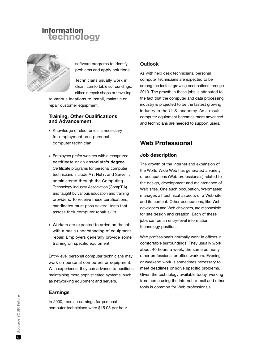

software programs to identify problems and apply solutions.

Technicians usually work in clean, comfortable surroundings, either in repair shops or travelling

to various locations to install, maintain or repair customer equipment.

#### **Training, Other Qualifications and Advancement**

- Knowledge of electronics is necessary for employment as a personal computer technician.
- Employers prefer workers with a recognized **certificate** or an **associate's degree**. Certificate programs for personal computer technicians include A+, Net+, and Server+, administered through the Computing Technology Industry Association (CompTIA) and taught by various education and training providers. To receive these certifications, candidates must pass several tests that assess their computer repair skills.
- Workers are expected to arrive on the job with a basic understanding of equipment repair. Employers generally provide some training on specific equipment.

Entry-level personal computer technicians may work on personal computers or equipment. With experience, they can advance to positions maintaining more sophisticated systems, such as networking equipment and servers.

## **Earnings**

In 2000, median earnings for personal computer technicians were \$15.08 per hour.

## **Outlook**

As with help desk technicians, personal computer technicians are expected to be among the fastest growing occupations through 2010. The growth in these jobs is attributed to the fact that the computer and data processing industry is projected to be the fastest growing industry in the U. S. economy. As a result, computer equipment becomes more advanced and technicians are needed to support users.

## **Web Professional**

#### **Job description**

The growth of the Internet and expansion of the World Wide Web has generated a variety of occupations (Web professionals) related to the design, development and maintenance of Web sites. One such occupation, Webmaster, manages all technical aspects of a Web site and its content. Other occupations, like Web developers and Web designers, are responsible for site design and creation. Each of these jobs can be an entry-level information technology position.

Web professionals normally work in offices in comfortable surroundings. They usually work about 40 hours a week, the same as many other professional or office workers. Evening or weekend work is sometimes necessary to meet deadlines or solve specific problems. Given the technology available today, working from home using the Internet, e-mail and other tools is common for Web professionals.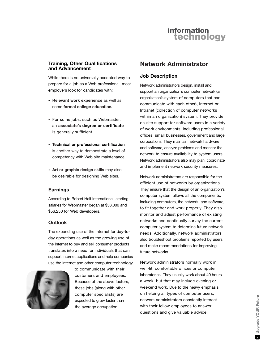## **Training, Other Qualifications and Advancement**

While there is no universally accepted way to prepare for a job as a Web professional, most employers look for candidates with:

- **Relevant work experience** as well as some **formal college education.**
- For some jobs, such as Webmaster, an **associate's degree or certificate** is generally sufficient.
- **Technical or professional certification** is another way to demonstrate a level of competency with Web site maintenance.
- **Art or graphic design skills** may also be desirable for designing Web sites.

## **Earnings**

According to Robert Half International, starting salaries for Webmaster began at \$58,000 and \$56,250 for Web developers.

## **Outlook**

The expanding use of the Internet for day-today operations as well as the growing use of the Internet to buy and sell consumer products translates into a need for individuals that can support Internet applications and help companies use the Internet and other computer technology



to communicate with their customers and employees. Because of the above factors, these jobs (along with other computer specialists) are expected to grow faster than the average occupation.

## **Network Administrator**

#### **Job Description**

Network administrators design, install and support an organization's computer network (an organization's system of computers that can communicate with each other), Internet or Intranet (collection of computer networks within an organization) system. They provide on-site support for software users in a variety of work environments, including professional offices, small businesses, government and large corporations. They maintain network hardware and software, analyze problems and monitor the network to ensure availability to system users. Network administrators also may plan, coordinate and implement network security measures.

Network administrators are responsible for the efficient use of networks by organizations. They ensure that the design of an organization's computer system allows all the components, including computers, the network, and software, to fit together and work properly. They also monitor and adjust performance of existing networks and continually survey the current computer system to determine future network needs. Additionally, network administrators also troubleshoot problems reported by users and make recommendations for improving future networks.

Network administrators normally work in well-lit, comfortable offices or computer laboratories. They usually work about 40 hours a week, but that may include evening or weekend work. Due to the heavy emphasis on helping all types of computer users, network administrators constantly interact with their fellow employees to answer questions and give valuable advice.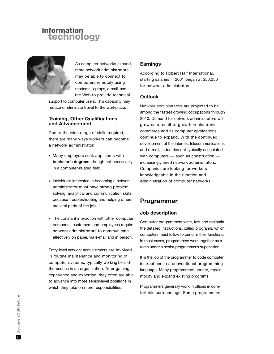

As computer networks expand, more network administrators may be able to connect to computers remotely using modems, laptops, e-mail, and the Web to provide technical

support to computer users. This capability may reduce or eliminate travel to the workplace.

#### **Training, Other Qualifications and Advancement**

Due to the wide range of skills required, there are many ways workers can become a network administrator.

- Many employers seek applicants with **bachelor's degrees**, though not necessarily in a computer-related field.
- Individuals interested in becoming a network administrator must have strong problemsolving, analytical and communication skills because troubleshooting and helping others are vital parts of the job.
- The constant interaction with other computer personnel, customers and employees require network administrators to communicate effectively on paper, via e-mail and in person.

Entry-level network administrators are involved in routine maintenance and monitoring of computer systems, typically working behindthe-scenes in an organization. After gaining experience and expertise, they often are able to advance into more senior-level positions in which they take on more responsibilities.

## **Earnings**

According to Robert Half International, starting salaries in 2001 began at \$50,250 for network administrators.

## **Outlook**

Network administrators are projected to be among the fastest growing occupations through 2010. Demand for network administrators will grow as a result of growth in electronic commerce and as computer applications continue to expand. With the continued development of the Internet, telecommunications and e-mail, industries not typically associated with computers — such as construction increasingly need network administrators. Companies are looking for workers knowledgeable in the function and administration of computer networks.

## **Programmer**

## **Job description**

Computer programmers write, test and maintain the detailed instructions, called programs, which computers must follow to perform their functions. In most cases, programmers work together as a team under a senior programmer's supervision.

It is the job of the programmer to code computer instructions in a conventional programming language. Many programmers update, repair, modify and expand existing programs.

Programmers generally work in offices in comfortable surroundings. Some programmers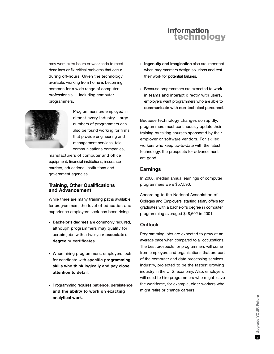may work extra hours or weekends to meet deadlines or fix critical problems that occur during off-hours. Given the technology available, working from home is becoming common for a wide range of computer professionals — including computer programmers.



Programmers are employed in almost every industry. Large numbers of programmers can also be found working for firms that provide engineering and management services, telecommunications companies,

manufacturers of computer and office equipment, financial institutions, insurance carriers, educational institutions and government agencies.

#### **Training, Other Qualifications and Advancement**

While there are many training paths available for programmers, the level of education and experience employers seek has been rising.

- **Bachelor's degrees** are commonly required, although programmers may qualify for certain jobs with a two-year **associate's degree** or **certificates**.
- When hiring programmers, employers look for candidate with **specific programming skills who think logically and pay close attention to detail**.
- Programming requires **patience, persistence and the ability to work on exacting analytical work**.
- **Ingenuity and imagination** also are important when programmers design solutions and test their work for potential failures.
- Because programmers are expected to work in teams and interact directly with users, employers want programmers who are able to **communicate with non-technical personnel**.

Because technology changes so rapidly, programmers must continuously update their training by taking courses sponsored by their employer or software vendors. For skilled workers who keep up-to-date with the latest technology, the prospects for advancement are good.

## **Earnings**

In 2000, median annual earnings of computer programmers were \$57,590.

According to the National Association of Colleges and Employers, starting salary offers for graduates with a bachelor's degree in computer programming averaged \$48,602 in 2001.

## **Outlook**

Programming jobs are expected to grow at an average pace when compared to all occupations. The best prospects for programmers will come from employers and organizations that are part of the computer and data processing services industry, projected to be the fastest growing industry in the U. S. economy. Also, employers will need to hire programmers who might leave the workforce, for example, older workers who might retire or change careers.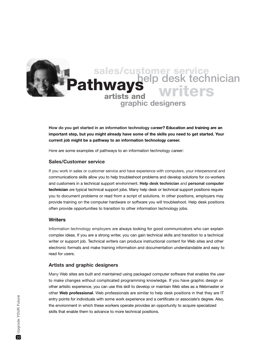

**How do you get started in an information technology career? Education and training are an important step, but you might already have some of the skills you need to get started. Your current job might be a pathway to an information technology career.**

Here are some examples of pathways to an information technology career:

#### **Sales/Customer service**

If you work in sales or customer service and have experience with computers, your interpersonal and communications skills allow you to help troubleshoot problems and develop solutions for co-workers and customers in a technical support environment. **Help desk technician** and **personal computer technician** are typical technical support jobs. Many help desk or technical support positions require you to document problems or read from a script of solutions. In other positions, employers may provide training on the computer hardware or software you will troubleshoot. Help desk positions often provide opportunities to transition to other information technology jobs.

#### **Writers**

Information technology employers are always looking for good communicators who can explain complex ideas. If you are a strong writer, you can gain technical skills and transition to a technical writer or support job. Technical writers can produce instructional content for Web sites and other electronic formats and make training information and documentation understandable and easy to read for users.

#### **Artists and graphic designers**

Many Web sites are built and maintained using packaged computer software that enables the user to make changes without complicated programming knowledge. If you have graphic design or other artistic experience, you can use this skill to develop or maintain Web sites as a Webmaster or other **Web professional**. Web professionals are similar to help desk positions in that they are IT entry points for individuals with some work experience and a certificate or associate's degree. Also, the environment in which these workers operate provides an opportunity to acquire specialized skills that enable them to advance to more technical positions.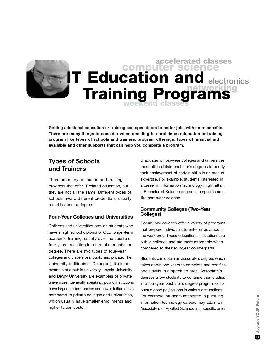## **weekend classes electronics accelerated classes networking computer science IT Education and Training Programs**

**Getting additional education or training can open doors to better jobs with more benefits. There are many things to consider when deciding to enroll in an education or training program like types of schools and trainers, program offerings, types of financial aid available and other supports that can help you complete a program.**

## **Types of Schools and Trainers**

There are many education and training providers that offer IT-related education, but they are not all the same. Different types of schools award different credentials, usually a certificate or a degree.

## **Four-Year Colleges and Universities**

Colleges and universities provide students who have a high school diploma or GED longer-term academic training, usually over the course of four years, resulting in a formal credential or degree. There are two types of four-year colleges and universities, public and private. The University of Illinois at Chicago (UIC) is an example of a public university. Loyola University and DeVry University are examples of private universities. Generally speaking, public institutions have larger student bodies and lower tuition costs compared to private colleges and universities, which usually have smaller enrollments and higher tuition costs.

Graduates of four-year colleges and universities most often obtain bachelor's degrees to certify their achievement of certain skills in an area of expertise. For example, students interested in a career in information technology might attain a Bachelor of Science degree in a specific area like computer science.

## **Community Colleges (Two-Year Colleges)**

Community colleges offer a variety of programs that prepare individuals to enter or advance in the workforce. These educational institutions are public colleges and are more affordable when compared to their four-year counterparts.

Students can obtain an associate's degree, which takes about two years to complete and certifies one's skills in a specified area. Associate's degrees allow students to continue their studies in a four-year bachelor's degree program or to pursue good paying jobs in various occupations. For example, students interested in pursuing information technology careers may attain an Associate's of Applied Science in a specific area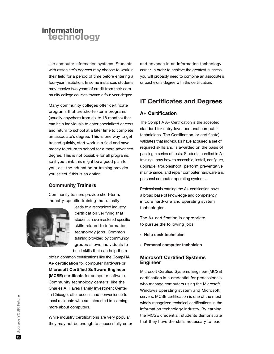like computer information systems. Students with associate's degrees may choose to work in their field for a period of time before entering a four-year institution. In some instances students may receive two years of credit from their community college courses toward a four-year degree.

Many community colleges offer certificate programs that are shorter-term programs (usually anywhere from six to 18 months) that can help individuals to enter specialized careers and return to school at a later time to complete an associate's degree. This is one way to get trained quickly, start work in a field and save money to return to school for a more advanced degree. This is not possible for all programs, so if you think this might be a good plan for you, ask the education or training provider you select if this is an option.

## **Community Trainers**

Community trainers provide short-term, industry-specific training that usually



leads to a recognized industry certification verifying that students have mastered specific skills related to information technology jobs. Common training provided by community groups allows individuals to build skills that can help them

obtain common certifications like the **CompTIA A+ certification** for computer hardware or **Microsoft Certified Software Engineer (MCSE) certificate** for computer software. Community technology centers, like the Charles A. Hayes Family Investment Center in Chicago, offer access and convenience to local residents who are interested in learning more about computers.

While industry certifications are very popular, they may not be enough to successfully enter and advance in an information technology career. In order to achieve the greatest success, you will probably need to combine an associate's or bachelor's degree with the certification.

## **IT Certificates and Degrees**

#### **A+ Certification**

The CompTIA A+ Certification is the accepted standard for entry-level personal computer technicians. The Certification (or certificate) validates that individuals have acquired a set of required skills and is awarded on the basis of passing a series of tests. Students enrolled in A+ training know how to assemble, install, configure, upgrade, troubleshoot, perform preventative maintenance, and repair computer hardware and personal computer operating systems.

Professionals earning the A+ certification have a broad base of knowledge and competency in core hardware and operating system technologies.

The A+ certification is appropriate to pursue the following jobs:

- **Help desk technician**
- **Personal computer technician**

#### **Microsoft Certified Systems Engineer**

Microsoft Certified Systems Engineer (MCSE) certification is a credential for professionals who manage computers using the Microsoft Windows operating system and Microsoft servers. MCSE certification is one of the most widely recognized technical certifications in the information technology industry. By earning the MCSE credential, students demonstrate that they have the skills necessary to lead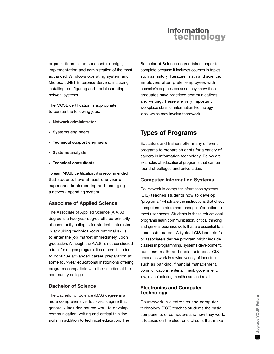organizations in the successful design, implementation and administration of the most advanced Windows operating system and Microsoft .NET Enterprise Servers, including installing, configuring and troubleshooting network systems.

The MCSE certification is appropriate to pursue the following jobs:

- **Network administrator**
- **Systems engineers**
- **Technical support engineers**
- **Systems analysts**
- **Technical consultants**

To earn MCSE certification, it is recommended that students have at least one year of experience implementing and managing a network operating system.

#### **Associate of Applied Science**

The Associate of Applied Science (A.A.S.) degree is a two-year degree offered primarily at community colleges for students interested in acquiring technical-occupational skills to enter the job market immediately upon graduation. Although the A.A.S. is not considered a transfer degree program, it can permit students to continue advanced career preparation at some four-year educational institutions offering programs compatible with their studies at the community college.

### **Bachelor of Science**

The Bachelor of Science (B.S.) degree is a more comprehensive, four-year degree that generally includes course work to develop communication, writing and critical thinking skills, in addition to technical education. The

Bachelor of Science degree takes longer to complete because it includes courses in topics such as history, literature, math and science. Employers often prefer employees with bachelor's degrees because they know these graduates have practiced communications and writing. These are very important workplace skills for information technology jobs, which may involve teamwork.

## **Types of Programs**

Educators and trainers offer many different programs to prepare students for a variety of careers in information technology. Below are examples of educational programs that can be found at colleges and universities.

#### **Computer Information Systems**

Coursework in computer information systems (CIS) teaches students how to develop "programs," which are the instructions that direct computers to store and manage information to meet user needs. Students in these educational programs learn communication, critical thinking and general business skills that are essential to a successful career. A typical CIS bachelor's or associate's degree program might include classes in programming, systems development, business, math, and social sciences. CIS graduates work in a wide variety of industries, such as banking, financial management, communications, entertainment, government, law, manufacturing, health care and retail.

#### **Electronics and Computer Technology**

Coursework in electronics and computer technology (ECT) teaches students the basic components of computers and how they work. It focuses on the electronic circuits that make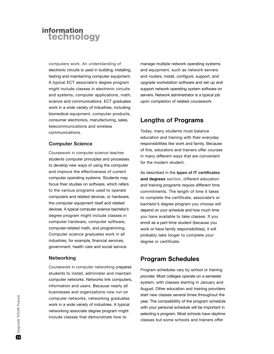computers work. An understanding of electronic circuits is used in building, installing, testing and maintaining computer equipment. A typical ECT associate's degree program might include classes in electronic circuits and systems, computer applications, math, science and communications. ECT graduates work in a wide variety of industries, including: biomedical equipment, computer products, consumer electronics, manufacturing, sales, telecommunications and wireless communications.

## **Computer Science**

Coursework in computer science teaches students computer principles and processes to develop new ways of using the computer and improve the effectiveness of current computer operating systems. Students may focus their studies on software, which refers to the various programs used to operate computers and related devices, or hardware, the computer equipment itself and related devices. A typical computer science bachelor's degree program might include classes in computer hardware, computer software, computer-related math, and programming. Computer science graduates work in all industries, for example, financial services, government, health care and social service.

## **Networking**

Coursework in computer networking prepares students to install, administer and maintain computer networks. Networks link computers, information and users. Because nearly all businesses and organizations now run on computer networks, networking graduates work in a wide variety of industries. A typical networking associate degree program might include classes that demonstrate how to

manage multiple network operating systems and equipment, such as network servers and routers; install, configure, support, and upgrade workstation software and set up and support network operating system software on servers. Network administrator is a typical job upon completion of related coursework.

## **Lengths of Programs**

Today, many students must balance education and training with their everyday responsibilities like work and family. Because of this, educators and trainers offer courses in many different ways that are convenient for the modern student.

As described in the **types of IT certificates and degrees** section, different education and training programs require different time commitments. The length of time it takes to complete the certificate, associate's or bachelor's degree program you choose will depend on your schedule and how much time you have available to take classes. If you enroll as a part-time student (because you work or have family responsibilities), it will probably take longer to complete your degree or certificate.

## **Program Schedules**

Program schedules vary by school or training provider. Most colleges operate on a semester system, with classes starting in January and August. Other education and training providers start new classes several times throughout the year. The compatibility of the program schedule with your personal schedule will be important in selecting a program. Most schools have daytime classes but some schools and trainers offer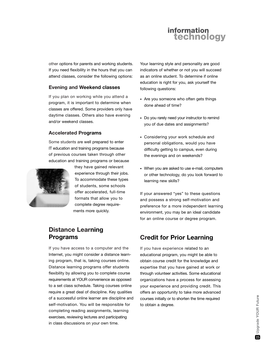other options for parents and working students. If you need flexibility in the hours that you can attend classes, consider the following options:

## **Evening and Weekend classes**

If you plan on working while you attend a program, it is important to determine when classes are offered. Some providers only have daytime classes. Others also have evening and/or weekend classes.

#### **Accelerated Programs**

Some students are well prepared to enter IT education and training programs because of previous courses taken through other education and training programs or because



they have gained relevant experience through their jobs. To accommodate these types of students, some schools offer accelerated, full-time formats that allow you to complete degree requirements more quickly.

## **Distance Learning Programs**

If you have access to a computer and the Internet, you might consider a distance learning program, that is, taking courses online. Distance learning programs offer students flexibility by allowing you to complete course requirements at YOUR convenience as opposed to a set class schedule. Taking courses online require a great deal of discipline. Key qualities of a successful online learner are discipline and self-motivation. You will be responsible for completing reading assignments, learning exercises, reviewing lectures and participating in class discussions on your own time.

Your learning style and personality are good indicators of whether or not you will succeed as an online student. To determine if online education is right for you, ask yourself the following questions:

- Are you someone who often gets things done ahead of time?
- Do you rarely need your instructor to remind you of due dates and assignments?
- Considering your work schedule and personal obligations, would you have difficulty getting to campus, even during the evenings and on weekends?
- When you are asked to use e-mail, computers or other technology, do you look forward to learning new skills?

If your answered "yes" to these questions and possess a strong self-motivation and preference for a more independent learning environment, you may be an ideal candidate for an online course or degree program.

## **Credit for Prior Learning**

If you have experience related to an educational program, you might be able to obtain course credit for the knowledge and expertise that you have gained at work or through volunteer activities. Some educational organizations have a process for assessing your experience and providing credit. This offers an opportunity to take more advanced courses initially or to shorten the time required to obtain a degree.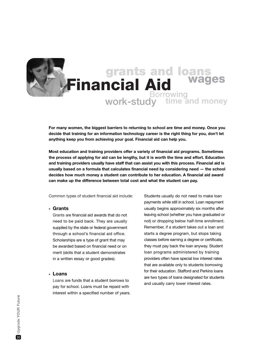## **grants and loans Financial Aid wages Borrowing time and money work-study**

**For many women, the biggest barriers to returning to school are time and money. Once you decide that training for an information technology career is the right thing for you, don't let anything keep you from achieving your goal. Financial aid can help you.**

**Most education and training providers offer a variety of financial aid programs. Sometimes the process of applying for aid can be lengthy, but it is worth the time and effort. Education and training providers usually have staff that can assist you with this process. Financial aid is usually based on a formula that calculates financial need by considering need — the school decides how much money a student can contribute to her education. A financial aid award can make up the difference between total cost and what the student can pay.**

Common types of student financial aid include:

#### **• Grants**

Grants are financial aid awards that do not need to be paid back. They are usually supplied by the state or federal government through a school's financial aid office. Scholarships are a type of grant that may be awarded based on financial need or on merit (skills that a student demonstrates in a written essay or good grades).

#### **• Loans**

Loans are funds that a student borrows to pay for school. Loans must be repaid with interest within a specified number of years. Students usually do not need to make loan payments while still in school. Loan repayment usually begins approximately six months after leaving school (whether you have graduated or not) or dropping below half-time enrollment. Remember, if a student takes out a loan and starts a degree program, but stops taking classes before earning a degree or certificate, they must pay back the loan anyway. Student loan programs administered by training providers often have special low interest rates that are available only to students borrowing for their education. Stafford and Perkins loans are two types of loans designated for students and usually carry lower interest rates.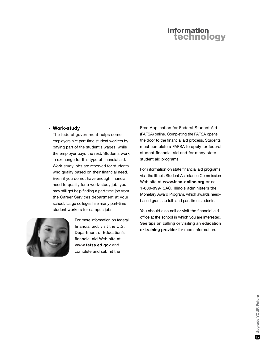#### **• Work-study**

The federal government helps some employers hire part-time student workers by paying part of the student's wages, while the employer pays the rest. Students work in exchange for this type of financial aid. Work-study jobs are reserved for students who qualify based on their financial need. Even if you do not have enough financial need to qualify for a work-study job, you may still get help finding a part-time job from the Career Services department at your school. Large colleges hire many part-time student workers for campus jobs.



For more information on federal financial aid, visit the U.S. Department of Education's financial aid Web site at **www.fafsa.ed.gov** and complete and submit the

Free Application for Federal Student Aid (FAFSA) online. Completing the FAFSA opens the door to the financial aid process. Students must complete a FAFSA to apply for federal student financial aid and for many state student aid programs.

For information on state financial aid programs visit the Illinois Student Assistance Commission Web site at **www.isac-online.org** or call 1-800-899-ISAC. Illinois administers the Monetary Award Program, which awards needbased grants to full- and part-time students.

You should also call or visit the financial aid office at the school in which you are interested. **See tips on calling or visiting an education or training provider** for more information.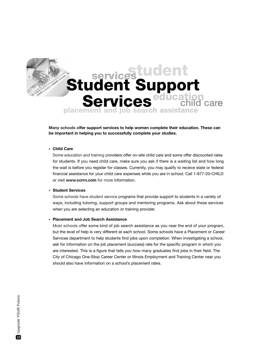# **placement and job search assistance student Student Support<br>Services <sup>education</sub>**</sup> **Services** *education* care **services**

**Many schools offer support services to help women complete their education. These can be important in helping you to successfully complete your studies.**

#### **• Child Care**

Some education and training providers offer on-site child care and some offer discounted rates for students. If you need child care, make sure you ask if there is a waiting list and how long the wait is before you register for classes. Currently, you may qualify to receive state or federal financial assistance for your child care expenses while you are in school. Call 1-877-20-CHILD or visit **www.ccrrn.com** for more information.

#### **• Student Services**

Some schools have student service programs that provide support to students in a variety of ways, including tutoring, support groups and mentoring programs. Ask about these services when you are selecting an education or training provider.

#### **• Placement and Job Search Assistance**

Most schools offer some kind of job search assistance as you near the end of your program, but the level of help is very different at each school. Some schools have a Placement or Career Services department to help students find jobs upon completion. When investigating a school, ask for information on the job placement (success) rate for the specific program in which you are interested. This is a figure that tells you how many graduates find jobs in their field. The City of Chicago One-Stop Career Center or Illinois Employment and Training Center near you should also have information on a school's placement rates.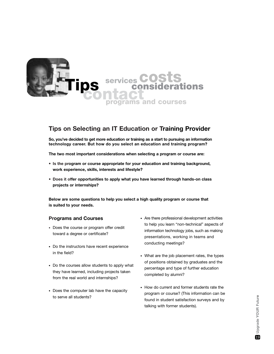

## **Tips on Selecting an IT Education or Training Provider**

**So, you've decided to get more education or training as a start to pursuing an information technology career. But how do you select an education and training program?**

**The two most important considerations when selecting a program or course are:** 

- **Is the program or course appropriate for your education and training background, work experience, skills, interests and lifestyle?**
- **Does it offer opportunities to apply what you have learned through hands-on class projects or internships?**

**Below are some questions to help you select a high quality program or course that is suited to your needs.**

## **Programs and Courses**

- Does the course or program offer credit toward a degree or certificate?
- Do the instructors have recent experience in the field?
- Do the courses allow students to apply what they have learned, including projects taken from the real world and internships?
- Does the computer lab have the capacity to serve all students?
- Are there professional development activities to help you learn "non-technical" aspects of information technology jobs, such as making presentations, working in teams and conducting meetings?
- What are the job placement rates, the types of positions obtained by graduates and the percentage and type of further education completed by alumni?
- How do current and former students rate the program or course? (This information can be found in student satisfaction surveys and by talking with former students).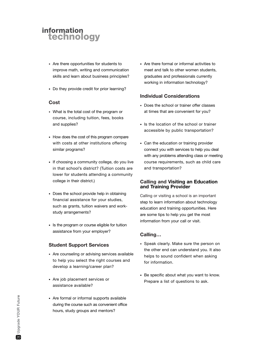- Are there opportunities for students to improve math, writing and communication skills and learn about business principles?
- Do they provide credit for prior learning?

#### **Cost**

- What is the total cost of the program or course, including tuition, fees, books and supplies?
- How does the cost of this program compare with costs at other institutions offering similar programs?
- If choosing a community college, do you live in that school's district? (Tuition costs are lower for students attending a community college in their district.)
- Does the school provide help in obtaining financial assistance for your studies, such as grants, tuition waivers and workstudy arrangements?
- Is the program or course eligible for tuition assistance from your employer?

## **Student Support Services**

- Are counseling or advising services available to help you select the right courses and develop a learning/career plan?
- Are job placement services or assistance available?
- Are formal or informal supports available during the course such as convenient office hours, study groups and mentors?

• Are there formal or informal activities to meet and talk to other women students, graduates and professionals currently working in information technology?

## **Individual Considerations**

- Does the school or trainer offer classes at times that are convenient for you?
- Is the location of the school or trainer accessible by public transportation?
- Can the education or training provider connect you with services to help you deal with any problems attending class or meeting course requirements, such as child care and transportation?

## **Calling and Visiting an Education and Training Provider**

Calling or visiting a school is an important step to learn information about technology education and training opportunities. Here are some tips to help you get the most information from your call or visit.

## **Calling…**

- Speak clearly. Make sure the person on the other end can understand you. It also helps to sound confident when asking for information.
- Be specific about what you want to know. Prepare a list of questions to ask.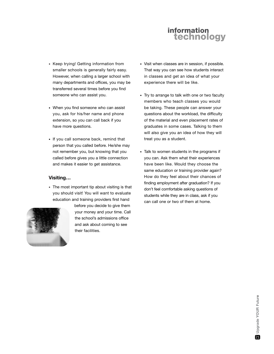- Keep trying! Getting information from smaller schools is generally fairly easy. However, when calling a larger school with many departments and offices, you may be transferred several times before you find someone who can assist you.
- When you find someone who can assist you, ask for his/her name and phone extension, so you can call back if you have more questions.
- If you call someone back, remind that person that you called before. He/she may not remember you, but knowing that you called before gives you a little connection and makes it easier to get assistance.

#### **Visiting…**

• The most important tip about visiting is that you should visit! You will want to evaluate education and training providers first hand



before you decide to give them your money and your time. Call the school's admissions office and ask about coming to see their facilities.

- Visit when classes are in session, if possible. That way you can see how students interact in classes and get an idea of what your experience there will be like.
- Try to arrange to talk with one or two faculty members who teach classes you would be taking. These people can answer your questions about the workload, the difficulty of the material and even placement rates of graduates in some cases. Talking to them will also give you an idea of how they will treat you as a student.
- Talk to women students in the programs if you can. Ask them what their experiences have been like. Would they choose the same education or training provider again? How do they feel about their chances of finding employment after graduation? If you don't feel comfortable asking questions of students while they are in class, ask if you can call one or two of them at home.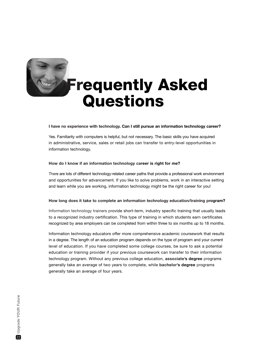

# **Frequently Asked Questions**

#### **I have no experience with technology. Can I still pursue an information technology career?**

Yes. Familiarity with computers is helpful, but not necessary. The basic skills you have acquired in administrative, service, sales or retail jobs can transfer to entry-level opportunities in information technology.

#### **How do I know if an information technology career is right for me?**

There are lots of different technology-related career paths that provide a professional work environment and opportunities for advancement. If you like to solve problems, work in an interactive setting and learn while you are working, information technology might be the right career for you!

#### **How long does it take to complete an information technology education/training program?**

Information technology trainers provide short-term, industry specific training that usually leads to a recognized industry certification. This type of training in which students earn certificates recognized by area employers can be completed from within three to six months up to 18 months.

Information technology educators offer more comprehensive academic coursework that results in a degree. The length of an education program depends on the type of program and your current level of education. If you have completed some college courses, be sure to ask a potential education or training provider if your previous coursework can transfer to their information technology program. Without any previous college education, **associate's degree** programs generally take an average of two years to complete, while **bachelor's degree** programs generally take an average of four years.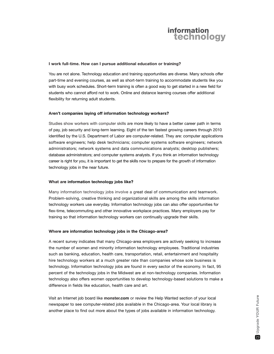#### **I work full-time. How can I pursue additional education or training?**

You are not alone. Technology education and training opportunities are diverse. Many schools offer part-time and evening courses, as well as short-term training to accommodate students like you with busy work schedules. Short-term training is often a good way to get started in a new field for students who cannot afford not to work. Online and distance learning courses offer additional flexibility for returning adult students.

#### **Aren't companies laying off information technology workers?**

Studies show workers with computer skills are more likely to have a better career path in terms of pay, job security and long-term learning. Eight of the ten fastest growing careers through 2010 identified by the U.S. Department of Labor are computer-related. They are: computer applications software engineers; help desk technicians; computer systems software engineers; network administrators; network systems and data communications analysts; desktop publishers; database administrators; and computer systems analysts. If you think an information technology career is right for you, it is important to get the skills now to prepare for the growth of information technology jobs in the near future.

#### **What are information technology jobs like?**

Many information technology jobs involve a great deal of communication and teamwork. Problem-solving, creative thinking and organizational skills are among the skills information technology workers use everyday. Information technology jobs can also offer opportunities for flex-time, telecommuting and other innovative workplace practices. Many employers pay for training so that information technology workers can continually upgrade their skills.

#### **Where are information technology jobs in the Chicago-area?**

A recent survey indicates that many Chicago-area employers are actively seeking to increase the number of women and minority information technology employees. Traditional industries such as banking, education, health care, transportation, retail, entertainment and hospitality hire technology workers at a much greater rate than companies whose sole business is technology. Information technology jobs are found in every sector of the economy. In fact, 95 percent of the technology jobs in the Midwest are at non-technology companies. Information technology also offers women opportunities to develop technology-based solutions to make a difference in fields like education, health care and art.

Visit an Internet job board like **monster.com** or review the Help Wanted section of your local newspaper to see computer-related jobs available in the Chicago-area. Your local library is another place to find out more about the types of jobs available in information technology.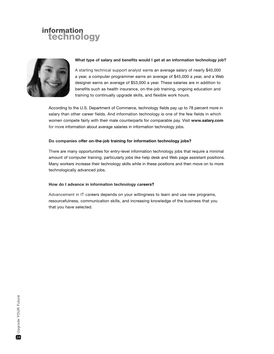

#### **What type of salary and benefits would I get at an information technology job?**

A starting technical support analyst earns an average salary of nearly \$40,000 a year, a computer programmer earns an average of \$45,000 a year, and a Web designer earns an average of \$53,000 a year. These salaries are in addition to benefits such as health insurance, on-the-job training, ongoing education and training to continually upgrade skills, and flexible work hours.

According to the U.S. Department of Commerce, technology fields pay up to 78 percent more in salary than other career fields. And information technology is one of the few fields in which women compete fairly with their male counterparts for comparable pay. Visit **www.salary.com** for more information about average salaries in information technology jobs.

#### **Do companies offer on-the-job training for information technology jobs?**

There are many opportunities for entry-level information technology jobs that require a minimal amount of computer training; particularly jobs like help desk and Web page assistant positions. Many workers increase their technology skills while in these positions and then move on to more technologically advanced jobs.

#### **How do I advance in information technology careers?**

Advancement in IT careers depends on your willingness to learn and use new programs, resourcefulness, communication skills, and increasing knowledge of the business that you that you have selected.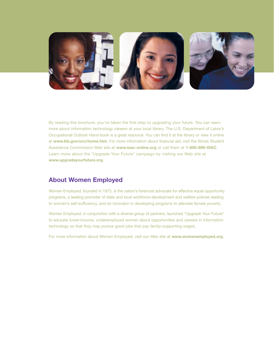

By reading this brochure, you've taken the first step to upgrading your future. You can learn more about information technology careers at your local library. The U.S. Department of Labor's Occupational Outlook Hand-book is a great resource. You can find it at the library or view it online at **www.bls.gov/oco/home.htm**. For more information about financial aid, visit the Illinois Student Assistance Commission Web site at **www.isac-online.org** or call them at **1-800-899-ISAC**. Learn more about the "Upgrade Your Future" campaign by visiting our Web site at **www.upgradeyourfuture.org**.

## **About Women Employed**

Women Employed, founded in 1973, is the nation's foremost advocate for effective equal opportunity programs, a leading promoter of state and local workforce development and welfare policies leading to women's self-sufficiency, and an innovator in developing programs to alleviate female poverty.

Women Employed, in conjunction with a diverse group of partners, launched "Upgrade Your Future" to educate lower-income, underemployed women about opportunities and careers in information technology so that they may pursue good jobs that pay family-supporting wages.

For more information about Women Employed, visit our Web site at **www.womenemployed.org**.